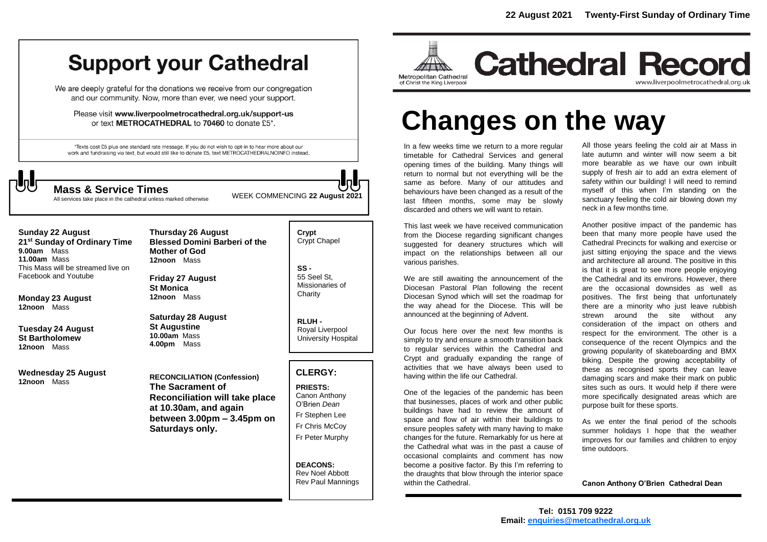# **Support your Cathedral**

We are deeply grateful for the donations we receive from our congregation and our community. Now, more than ever, we need your support.

Please visit www.liverpoolmetrocathedral.org.uk/support-us or text METROCATHEDRAL to 70460 to donate £5\*.

\*Texts cost £5 plus one standard rate message. If you do not wish to opt-in to hear more about our work and fundraising via text, but would still like to donate £5, text METROCATHEDRALNOINFO instead.



All services take place in the cathedral unless marked otherwise

WEEK COMMENCING **<sup>22</sup> August 2021 Mass & Service Times**

# **Sunday 22 August**

**21st Sunday of Ordinary Time 9.00am** Mass **11.00am** Mass This Mass will be streamed live on Facebook and Youtube

**Monday 23 August 12noon** Mass

**Tuesday 24 August St Bartholomew 12noon** Mass

**Wednesday 25 August 12noon** Mass

**Thursday 26 August Blessed Domini Barberi of the Mother of God 12noon** Mass

**Friday 27 August St Monica 12noon** Mass

**Saturday 28 August St Augustine 10.00am** Mass **4.00pm** Mass

**RECONCILIATION (Confession) The Sacrament of Reconciliation will take place at 10.30am, and again between 3.00pm – 3.45pm on Saturdays only.**

**Crypt**  Crypt Chapel

**SS -** 55 Seel St, Missionaries of **Charity** 

**RLUH -** Royal Liverpool University Hospital

# **CLERGY:**

**PRIESTS:** Canon Anthony O'Brien *Dean* Fr Stephen Lee Fr Chris McCoy Fr Peter Murphy

**DEACONS:** Rev Noel Abbott Rev Paul Mannings



**Cathedral Record** www.liverpoolmetrocathedral.org.uk

# **Changes on the way**

In a few weeks time we return to a more regular timetable for Cathedral Services and general opening times of the building. Many things will return to normal but not everything will be the same as before. Many of our attitudes and behaviours have been changed as a result of the last fifteen months, some may be slowly discarded and others we will want to retain.

This last week we have received communication from the Diocese regarding significant changes suggested for deanery structures which will impact on the relationships between all our various parishes.

We are still awaiting the announcement of the Diocesan Pastoral Plan following the recent Diocesan Synod which will set the roadmap for the way ahead for the Diocese. This will be announced at the beginning of Advent.

Our focus here over the next few months is simply to try and ensure a smooth transition back to regular services within the Cathedral and Crypt and gradually expanding the range of activities that we have always been used to having within the life our Cathedral.

One of the legacies of the pandemic has been that businesses, places of work and other public buildings have had to review the amount of space and flow of air within their buildings to ensure peoples safety with many having to make changes for the future. Remarkably for us here at the Cathedral what was in the past a cause of occasional complaints and comment has now become a positive factor. By this I'm referring to the draughts that blow through the interior space within the Cathedral.

All those years feeling the cold air at Mass in late autumn and winter will now seem a bit more bearable as we have our own inbuilt supply of fresh air to add an extra element of safety within our building! I will need to remind myself of this when I'm standing on the sanctuary feeling the cold air blowing down my neck in a few months time.

Another positive impact of the pandemic has been that many more people have used the Cathedral Precincts for walking and exercise or just sitting enjoying the space and the views and architecture all around. The positive in this is that it is great to see more people enjoying the Cathedral and its environs. However, there are the occasional downsides as well as positives. The first being that unfortunately there are a minority who just leave rubbish strewn around the site without any consideration of the impact on others and respect for the environment. The other is a consequence of the recent Olympics and the growing popularity of skateboarding and BMX biking. Despite the growing acceptability of these as recognised sports they can leave damaging scars and make their mark on public sites such as ours. It would help if there were more specifically designated areas which are purpose built for these sports.

As we enter the final period of the schools summer holidays I hope that the weather improves for our families and children to enjoy time outdoors.

**Canon Anthony O'Brien Cathedral Dean**